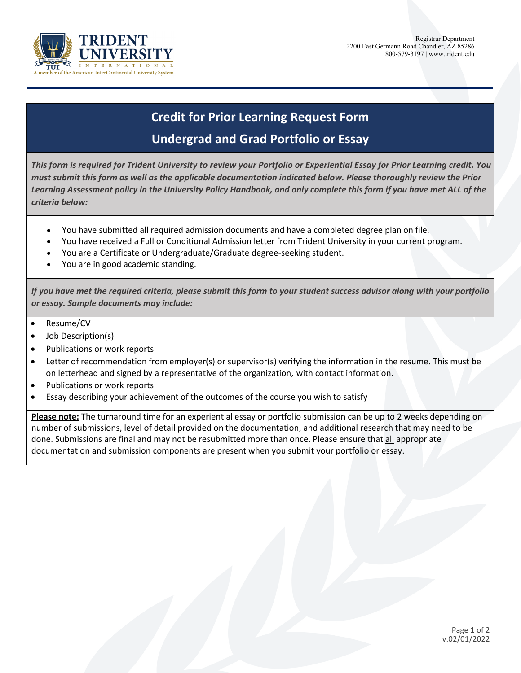

## **Credit for Prior Learning Request Form Undergrad and Grad Portfolio or Essay**

*This form is required for Trident University to review your Portfolio or Experiential Essay for Prior Learning credit. You must submit this form as well as the applicable documentation indicated below. Please thoroughly review the Prior*  Learning Assessment policy in the University Policy Handbook, and only complete this form if you have met ALL of the *criteria below:*

- You have submitted all required admission documents and have a completed degree plan on file.
- You have received a Full or Conditional Admission letter from Trident University in your current program.
- You are a Certificate or Undergraduate/Graduate degree-seeking student.
- You are in good academic standing.

*If you have met the required criteria, please submit this form to your student success advisor along with your portfolio or essay. Sample documents may include:*

- Resume/CV
- Job Description(s)
- Publications or work reports
- Letter of recommendation from employer(s) or supervisor(s) verifying the information in the resume. This must be on letterhead and signed by a representative of the organization, with contact information.
- Publications or work reports
- Essay describing your achievement of the outcomes of the course you wish to satisfy

**Please note:** The turnaround time for an experiential essay or portfolio submission can be up to 2 weeks depending on number of submissions, level of detail provided on the documentation, and additional research that may need to be done. Submissions are final and may not be resubmitted more than once. Please ensure that all appropriate documentation and submission components are present when you submit your portfolio or essay.